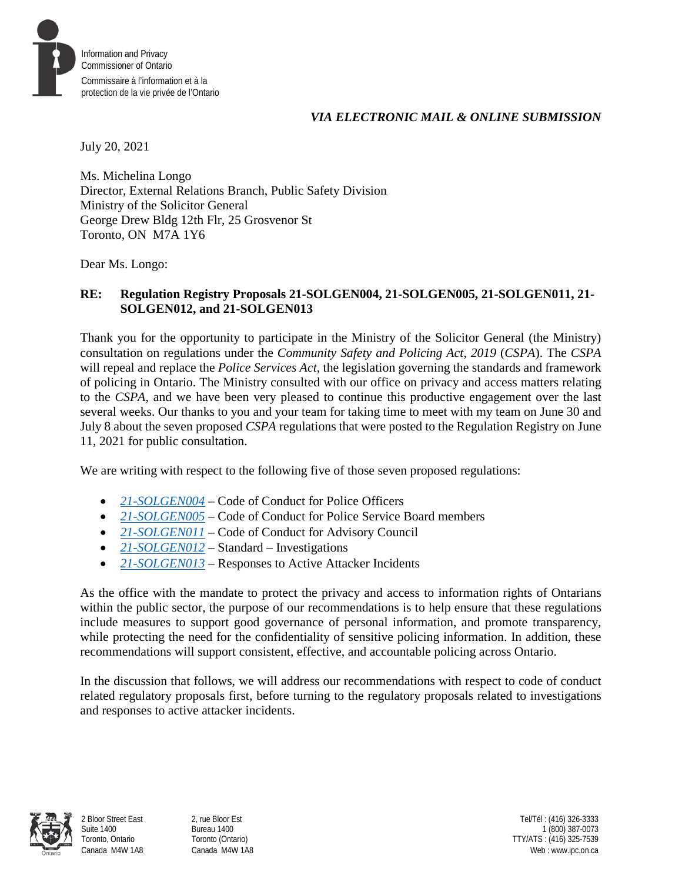

### *VIA ELECTRONIC MAIL & ONLINE SUBMISSION*

July 20, 2021

Ms. Michelina Longo Director, External Relations Branch, Public Safety Division Ministry of the Solicitor General George Drew Bldg 12th Flr, 25 Grosvenor St Toronto, ON M7A 1Y6

Dear Ms. Longo:

## **RE: Regulation Registry Proposals 21-SOLGEN004, 21-SOLGEN005, 21-SOLGEN011, 21- SOLGEN012, and 21-SOLGEN013**

Thank you for the opportunity to participate in the Ministry of the Solicitor General (the Ministry) consultation on regulations under the *Community Safety and Policing Act, 2019* (*CSPA*). The *CSPA* will repeal and replace the *Police Services Act*, the legislation governing the standards and framework of policing in Ontario. The Ministry consulted with our office on privacy and access matters relating to the *CSPA*, and we have been very pleased to continue this productive engagement over the last several weeks. Our thanks to you and your team for taking time to meet with my team on June 30 and July 8 about the seven proposed *CSPA* regulations that were posted to the Regulation Registry on June 11, 2021 for public consultation.

We are writing with respect to the following five of those seven proposed regulations:

- *[21-SOLGEN004](https://www.ontariocanada.com/registry/view.do?postingId=36948&language=en)* Code of Conduct for Police Officers
- *[21-SOLGEN005](https://www.ontariocanada.com/registry/view.do?postingId=36949&language=en)* Code of Conduct for Police Service Board members
- [21-SOLGEN011](https://www.ontariocanada.com/registry/view.do?postingId=37767&language=en) Code of Conduct for Advisory Council
- *[21-SOLGEN012](https://www.ontariocanada.com/registry/view.do?postingId=37768&language=en)* Standard Investigations
- *[21-SOLGEN013](https://www.ontariocanada.com/registry/view.do?postingId=37769&language=en)* Responses to Active Attacker Incidents

As the office with the mandate to protect the privacy and access to information rights of Ontarians within the public sector, the purpose of our recommendations is to help ensure that these regulations include measures to support good governance of personal information, and promote transparency, while protecting the need for the confidentiality of sensitive policing information. In addition, these recommendations will support consistent, effective, and accountable policing across Ontario.

In the discussion that follows, we will address our recommendations with respect to code of conduct related regulatory proposals first, before turning to the regulatory proposals related to investigations and responses to active attacker incidents.

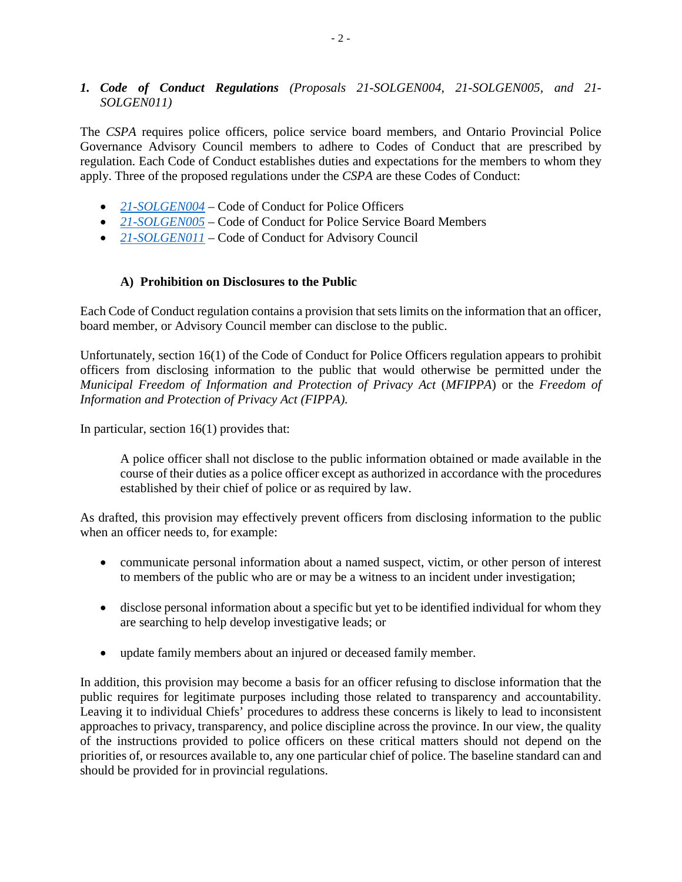### *1. Code of Conduct Regulations (Proposals 21-SOLGEN004, 21-SOLGEN005, and 21- SOLGEN011)*

The *CSPA* requires police officers, police service board members, and Ontario Provincial Police Governance Advisory Council members to adhere to Codes of Conduct that are prescribed by regulation. Each Code of Conduct establishes duties and expectations for the members to whom they apply. Three of the proposed regulations under the *CSPA* are these Codes of Conduct:

- *[21-SOLGEN004](https://www.ontariocanada.com/registry/view.do?postingId=36948&language=en)* Code of Conduct for Police Officers
- [21-SOLGEN005](https://www.ontariocanada.com/registry/view.do?postingId=36949&language=en) Code of Conduct for Police Service Board Members
- **[21-SOLGEN011](https://www.ontariocanada.com/registry/view.do?postingId=37767&language=en)** Code of Conduct for Advisory Council

### **A) Prohibition on Disclosures to the Public**

Each Code of Conduct regulation contains a provision that sets limits on the information that an officer, board member, or Advisory Council member can disclose to the public.

Unfortunately, section 16(1) of the Code of Conduct for Police Officers regulation appears to prohibit officers from disclosing information to the public that would otherwise be permitted under the *Municipal Freedom of Information and Protection of Privacy Act* (*MFIPPA*) or the *Freedom of Information and Protection of Privacy Act (FIPPA).*

In particular, section 16(1) provides that:

A police officer shall not disclose to the public information obtained or made available in the course of their duties as a police officer except as authorized in accordance with the procedures established by their chief of police or as required by law.

As drafted, this provision may effectively prevent officers from disclosing information to the public when an officer needs to, for example:

- communicate personal information about a named suspect, victim, or other person of interest to members of the public who are or may be a witness to an incident under investigation;
- disclose personal information about a specific but yet to be identified individual for whom they are searching to help develop investigative leads; or
- update family members about an injured or deceased family member.

In addition, this provision may become a basis for an officer refusing to disclose information that the public requires for legitimate purposes including those related to transparency and accountability. Leaving it to individual Chiefs' procedures to address these concerns is likely to lead to inconsistent approaches to privacy, transparency, and police discipline across the province. In our view, the quality of the instructions provided to police officers on these critical matters should not depend on the priorities of, or resources available to, any one particular chief of police. The baseline standard can and should be provided for in provincial regulations.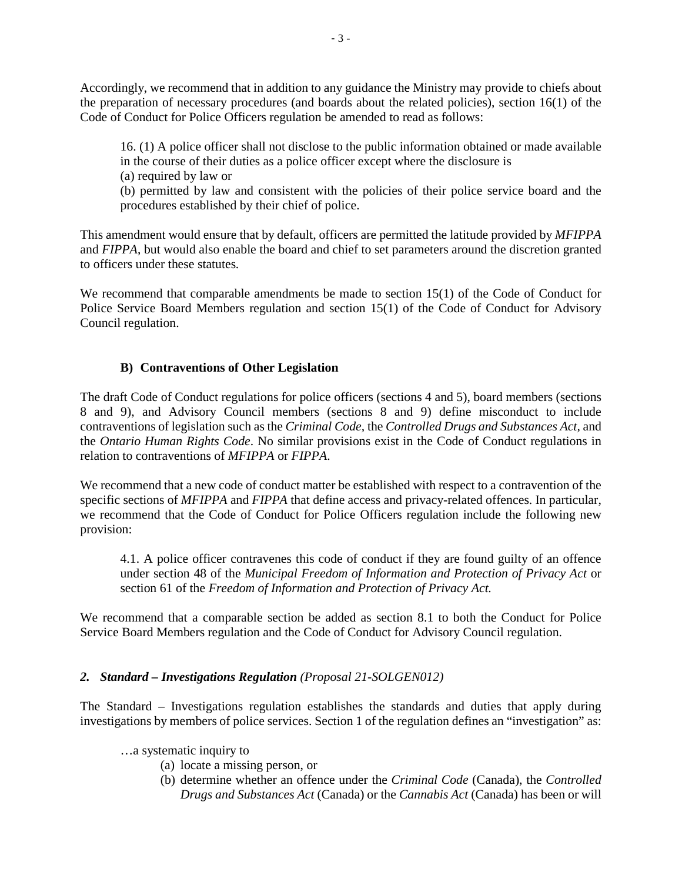Accordingly, we recommend that in addition to any guidance the Ministry may provide to chiefs about the preparation of necessary procedures (and boards about the related policies), section 16(1) of the Code of Conduct for Police Officers regulation be amended to read as follows:

16. (1) A police officer shall not disclose to the public information obtained or made available in the course of their duties as a police officer except where the disclosure is

(a) required by law or

(b) permitted by law and consistent with the policies of their police service board and the procedures established by their chief of police.

This amendment would ensure that by default, officers are permitted the latitude provided by *MFIPPA*  and *FIPPA*, but would also enable the board and chief to set parameters around the discretion granted to officers under these statutes*.*

We recommend that comparable amendments be made to section 15(1) of the Code of Conduct for Police Service Board Members regulation and section 15(1) of the Code of Conduct for Advisory Council regulation.

# **B) Contraventions of Other Legislation**

The draft Code of Conduct regulations for police officers (sections 4 and 5), board members (sections 8 and 9), and Advisory Council members (sections 8 and 9) define misconduct to include contraventions of legislation such as the *Criminal Code,* the *Controlled Drugs and Substances Act,* and the *Ontario Human Rights Code*. No similar provisions exist in the Code of Conduct regulations in relation to contraventions of *MFIPPA* or *FIPPA*.

We recommend that a new code of conduct matter be established with respect to a contravention of the specific sections of *MFIPPA* and *FIPPA* that define access and privacy-related offences. In particular, we recommend that the Code of Conduct for Police Officers regulation include the following new provision:

4.1. A police officer contravenes this code of conduct if they are found guilty of an offence under section 48 of the *Municipal Freedom of Information and Protection of Privacy Act* or section 61 of the *Freedom of Information and Protection of Privacy Act.* 

We recommend that a comparable section be added as section 8.1 to both the Conduct for Police Service Board Members regulation and the Code of Conduct for Advisory Council regulation.

# *2. Standard – Investigations Regulation (Proposal 21-SOLGEN012)*

The Standard – Investigations regulation establishes the standards and duties that apply during investigations by members of police services. Section 1 of the regulation defines an "investigation" as:

- …a systematic inquiry to
	- (a) locate a missing person, or
	- (b) determine whether an offence under the *Criminal Code* (Canada), the *Controlled Drugs and Substances Act* (Canada) or the *Cannabis Act* (Canada) has been or will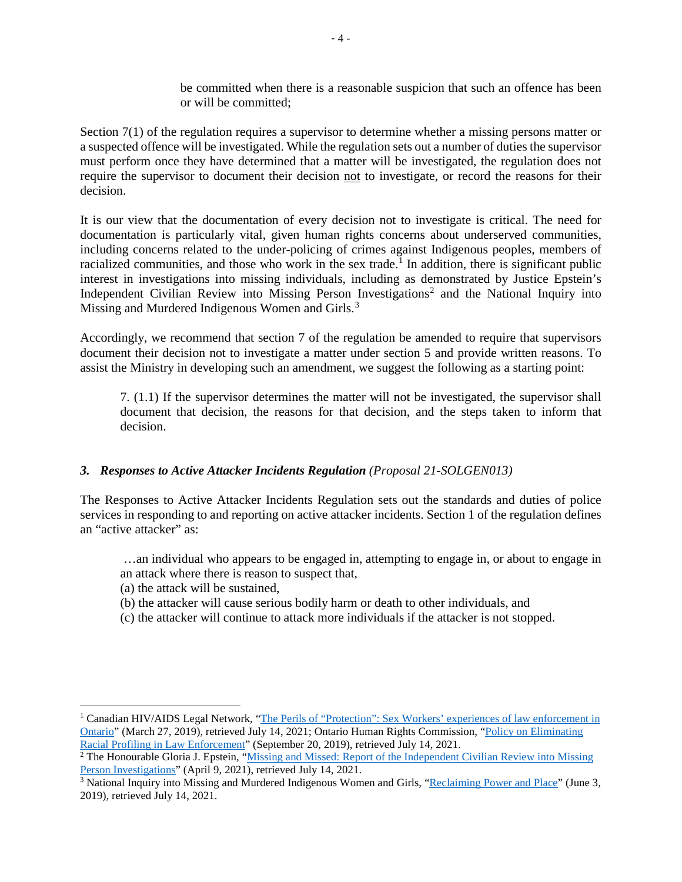be committed when there is a reasonable suspicion that such an offence has been or will be committed;

Section 7(1) of the regulation requires a supervisor to determine whether a missing persons matter or a suspected offence will be investigated. While the regulation sets out a number of duties the supervisor must perform once they have determined that a matter will be investigated, the regulation does not require the supervisor to document their decision not to investigate, or record the reasons for their decision.

It is our view that the documentation of every decision not to investigate is critical. The need for documentation is particularly vital, given human rights concerns about underserved communities, including concerns related to the under-policing of crimes against Indigenous peoples, members of racialized communities, and those who work in the sex trade.<sup>[1](#page-3-0)</sup> In addition, there is significant public interest in investigations into missing individuals, including as demonstrated by Justice Epstein's Independent Civilian Review into Missing Person Investigations<sup>[2](#page-3-1)</sup> and the National Inquiry into Missing and Murdered Indigenous Women and Girls.<sup>[3](#page-3-2)</sup>

Accordingly, we recommend that section 7 of the regulation be amended to require that supervisors document their decision not to investigate a matter under section 5 and provide written reasons. To assist the Ministry in developing such an amendment, we suggest the following as a starting point:

7. (1.1) If the supervisor determines the matter will not be investigated, the supervisor shall document that decision, the reasons for that decision, and the steps taken to inform that decision.

### *3. Responses to Active Attacker Incidents Regulation (Proposal 21-SOLGEN013)*

The Responses to Active Attacker Incidents Regulation sets out the standards and duties of police services in responding to and reporting on active attacker incidents. Section 1 of the regulation defines an "active attacker" as:

- …an individual who appears to be engaged in, attempting to engage in, or about to engage in an attack where there is reason to suspect that,
- (a) the attack will be sustained,

 $\overline{a}$ 

- (b) the attacker will cause serious bodily harm or death to other individuals, and
- (c) the attacker will continue to attack more individuals if the attacker is not stopped.

<span id="page-3-0"></span><sup>&</sup>lt;sup>1</sup> Canadian HIV/AIDS Legal Network, "The Perils of "Protection": Sex Workers' experiences of law enforcement in [Ontario"](https://www.hivlegalnetwork.ca/site/the-perils-of-protection/?lang=en) (March 27, 2019), retrieved July 14, 2021; Ontario Human Rights Commission, ["Policy on Eliminating](http://www.ohrc.on.ca/en/policy-eliminating-racial-profiling-law-enforcement)  [Racial Profiling in Law Enforcement"](http://www.ohrc.on.ca/en/policy-eliminating-racial-profiling-law-enforcement) (September 20, 2019), retrieved July 14, 2021.<br><sup>2</sup> The Honourable Gloria J. Epstein, "<u>Missing and Missed: Report of the Independent Civilian Review into Missing</u>

<span id="page-3-1"></span>[Person Investigations"](https://www.missingpersonsreview.ca/report-missing-and-missed) (April 9, 2021), retrieved July 14, 2021.

<span id="page-3-2"></span><sup>&</sup>lt;sup>3</sup> National Inquiry into Missing and Murdered Indigenous Women and Girls, ["Reclaiming Power and Place"](https://www.mmiwg-ffada.ca/final-report/) (June 3, 2019), retrieved July 14, 2021.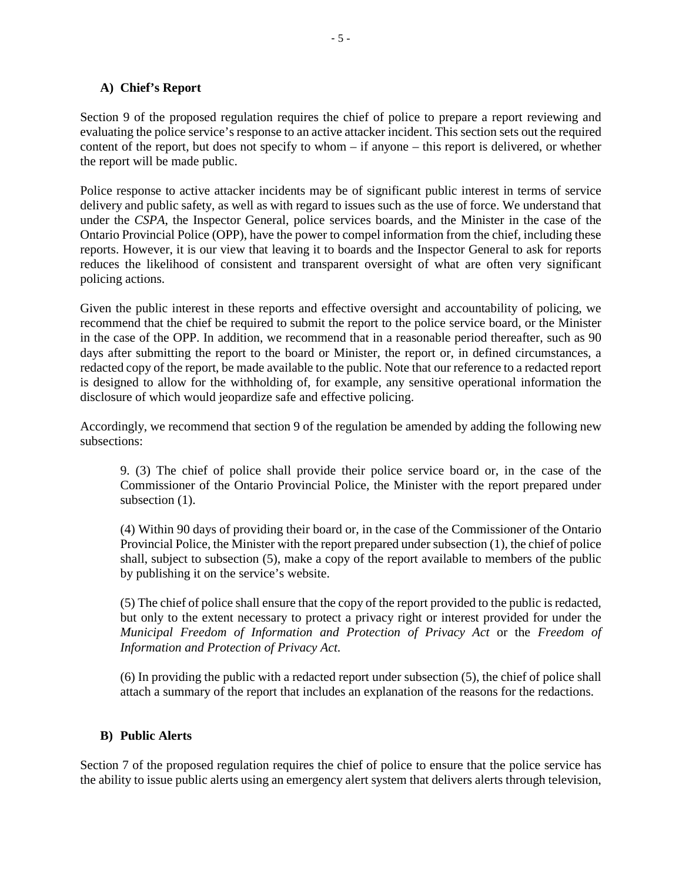### **A) Chief's Report**

Section 9 of the proposed regulation requires the chief of police to prepare a report reviewing and evaluating the police service's response to an active attacker incident. This section sets out the required content of the report, but does not specify to whom – if anyone – this report is delivered, or whether the report will be made public.

Police response to active attacker incidents may be of significant public interest in terms of service delivery and public safety, as well as with regard to issues such as the use of force. We understand that under the *CSPA*, the Inspector General, police services boards, and the Minister in the case of the Ontario Provincial Police (OPP), have the power to compel information from the chief, including these reports. However, it is our view that leaving it to boards and the Inspector General to ask for reports reduces the likelihood of consistent and transparent oversight of what are often very significant policing actions.

Given the public interest in these reports and effective oversight and accountability of policing, we recommend that the chief be required to submit the report to the police service board, or the Minister in the case of the OPP. In addition, we recommend that in a reasonable period thereafter, such as 90 days after submitting the report to the board or Minister, the report or, in defined circumstances, a redacted copy of the report, be made available to the public. Note that our reference to a redacted report is designed to allow for the withholding of, for example, any sensitive operational information the disclosure of which would jeopardize safe and effective policing.

Accordingly, we recommend that section 9 of the regulation be amended by adding the following new subsections:

9. (3) The chief of police shall provide their police service board or, in the case of the Commissioner of the Ontario Provincial Police, the Minister with the report prepared under subsection  $(1)$ .

(4) Within 90 days of providing their board or, in the case of the Commissioner of the Ontario Provincial Police, the Minister with the report prepared under subsection (1), the chief of police shall, subject to subsection (5), make a copy of the report available to members of the public by publishing it on the service's website.

(5) The chief of police shall ensure that the copy of the report provided to the public is redacted, but only to the extent necessary to protect a privacy right or interest provided for under the *Municipal Freedom of Information and Protection of Privacy Act* or the *Freedom of Information and Protection of Privacy Act.*

(6) In providing the public with a redacted report under subsection (5), the chief of police shall attach a summary of the report that includes an explanation of the reasons for the redactions.

#### **B) Public Alerts**

Section 7 of the proposed regulation requires the chief of police to ensure that the police service has the ability to issue public alerts using an emergency alert system that delivers alerts through television,